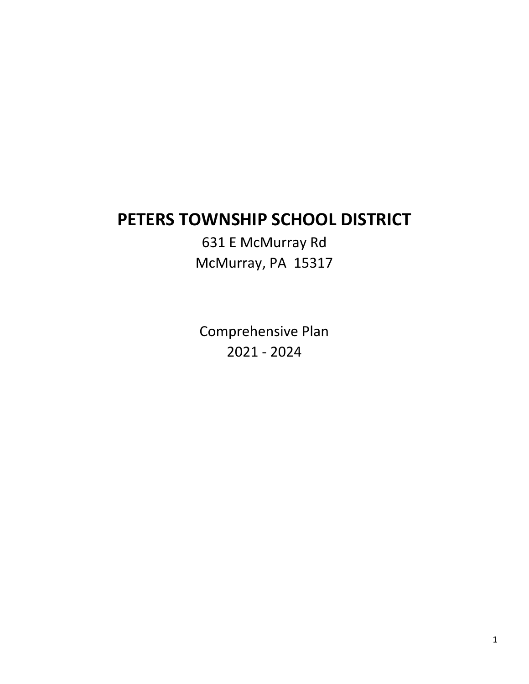# **PETERS TOWNSHIP SCHOOL DISTRICT**

631 E McMurray Rd McMurray, PA 15317

Comprehensive Plan 2021 - 2024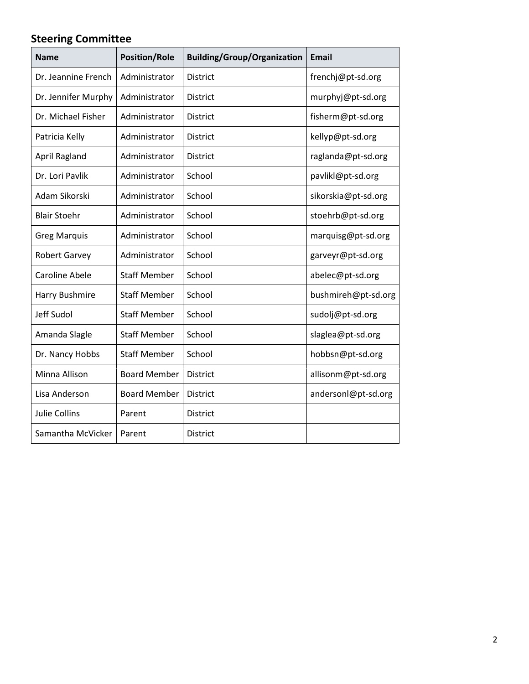# **Steering Committee**

| <b>Name</b>           | <b>Position/Role</b> | <b>Building/Group/Organization</b> | <b>Email</b>        |
|-----------------------|----------------------|------------------------------------|---------------------|
| Dr. Jeannine French   | Administrator        | District                           | frenchj@pt-sd.org   |
| Dr. Jennifer Murphy   | Administrator        | <b>District</b>                    | murphyj@pt-sd.org   |
| Dr. Michael Fisher    | Administrator        | <b>District</b>                    | fisherm@pt-sd.org   |
| Patricia Kelly        | Administrator        | <b>District</b>                    | kellyp@pt-sd.org    |
| April Ragland         | Administrator        | <b>District</b>                    | raglanda@pt-sd.org  |
| Dr. Lori Pavlik       | Administrator        | School                             | pavlikl@pt-sd.org   |
| Adam Sikorski         | Administrator        | School                             | sikorskia@pt-sd.org |
| <b>Blair Stoehr</b>   | Administrator        | School                             | stoehrb@pt-sd.org   |
| <b>Greg Marquis</b>   | Administrator        | School                             | marquisg@pt-sd.org  |
| <b>Robert Garvey</b>  | Administrator        | School                             | garveyr@pt-sd.org   |
| <b>Caroline Abele</b> | <b>Staff Member</b>  | School                             | abelec@pt-sd.org    |
| Harry Bushmire        | <b>Staff Member</b>  | School                             | bushmireh@pt-sd.org |
| Jeff Sudol            | <b>Staff Member</b>  | School                             | sudolj@pt-sd.org    |
| Amanda Slagle         | <b>Staff Member</b>  | School                             | slaglea@pt-sd.org   |
| Dr. Nancy Hobbs       | <b>Staff Member</b>  | School                             | hobbsn@pt-sd.org    |
| Minna Allison         | <b>Board Member</b>  | District                           | allisonm@pt-sd.org  |
| Lisa Anderson         | <b>Board Member</b>  | <b>District</b>                    | andersonl@pt-sd.org |
| <b>Julie Collins</b>  | Parent               | District                           |                     |
| Samantha McVicker     | Parent               | <b>District</b>                    |                     |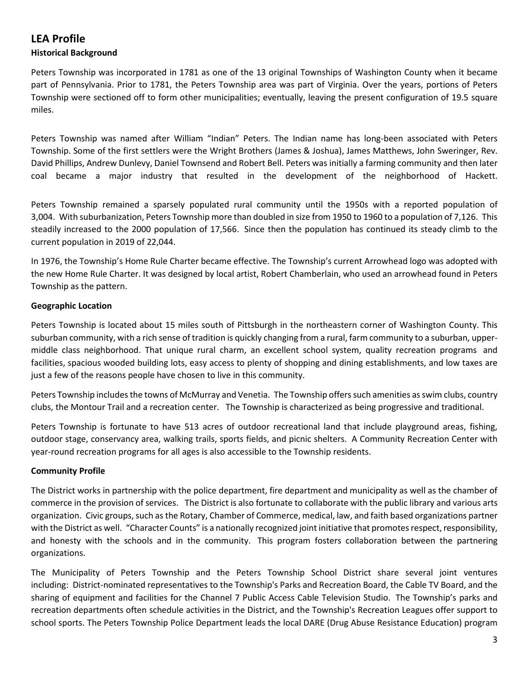### **LEA Profile**

#### **Historical Background**

Peters Township was incorporated in 1781 as one of the 13 original Townships of Washington County when it became part of Pennsylvania. Prior to 1781, the Peters Township area was part of Virginia. Over the years, portions of Peters Township were sectioned off to form other municipalities; eventually, leaving the present configuration of 19.5 square miles.

Peters Township was named after William "Indian" Peters. The Indian name has long-been associated with Peters Township. Some of the first settlers were the Wright Brothers (James & Joshua), James Matthews, John Sweringer, Rev. David Phillips, Andrew Dunlevy, Daniel Townsend and Robert Bell. Peters was initially a farming community and then later coal became a major industry that resulted in the development of the neighborhood of Hackett.

Peters Township remained a sparsely populated rural community until the 1950s with a reported population of 3,004. With suburbanization, Peters Township more than doubled in size from 1950 to 1960 to a population of 7,126. This steadily increased to the 2000 population of 17,566. Since then the population has continued its steady climb to the current population in 2019 of 22,044.

In 1976, the Township's Home Rule Charter became effective. The Township's current Arrowhead logo was adopted with the new Home Rule Charter. It was designed by local artist, Robert Chamberlain, who used an arrowhead found in Peters Township as the pattern.

#### **Geographic Location**

Peters Township is located about 15 miles south of Pittsburgh in the northeastern corner of Washington County. This suburban community, with a rich sense of tradition is quickly changing from a rural, farm community to a suburban, uppermiddle class neighborhood. That unique rural charm, an excellent school system, quality recreation programs and facilities, spacious wooded building lots, easy access to plenty of shopping and dining establishments, and low taxes are just a few of the reasons people have chosen to live in this community.

Peters Township includes the towns of McMurray and Venetia. The Township offers such amenities as swim clubs, country clubs, the Montour Trail and a recreation center. The Township is characterized as being progressive and traditional.

Peters Township is fortunate to have 513 acres of outdoor recreational land that include playground areas, fishing, outdoor stage, conservancy area, walking trails, sports fields, and picnic shelters. A Community Recreation Center with year-round recreation programs for all ages is also accessible to the Township residents.

#### **Community Profile**

The District works in partnership with the police department, fire department and municipality as well as the chamber of commerce in the provision of services. The District is also fortunate to collaborate with the public library and various arts organization. Civic groups, such as the Rotary, Chamber of Commerce, medical, law, and faith based organizations partner with the District as well. "Character Counts" is a nationally recognized joint initiative that promotes respect, responsibility, and honesty with the schools and in the community. This program fosters collaboration between the partnering organizations.

The Municipality of Peters Township and the Peters Township School District share several joint ventures including: District-nominated representatives to the Township's Parks and Recreation Board, the Cable TV Board, and the sharing of equipment and facilities for the Channel 7 Public Access Cable Television Studio. The Township's parks and recreation departments often schedule activities in the District, and the Township's Recreation Leagues offer support to school sports. The Peters Township Police Department leads the local DARE (Drug Abuse Resistance Education) program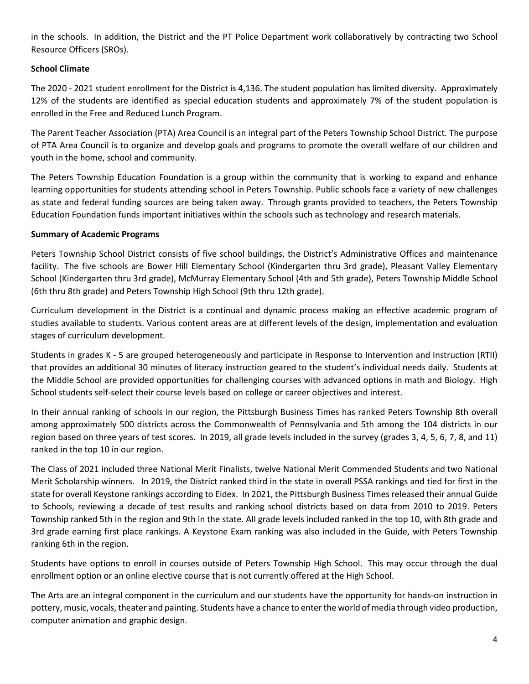in the schools. In addition, the District and the PT Police Department work collaboratively by contracting two School Resource Officers (SROs).

#### **School Climate**

The 2020 - 2021 student enrollment for the District is 4,136. The student population has limited diversity. Approximately 12% of the students are identified as special education students and approximately 7% of the student population is enrolled in the Free and Reduced Lunch Program.

The Parent Teacher Association (PTA) Area Council is an integral part of the Peters Township School District. The purpose of PTA Area Council is to organize and develop goals and programs to promote the overall welfare of our children and youth in the home, school and community.

The Peters Township Education Foundation is a group within the community that is working to expand and enhance learning opportunities for students attending school in Peters Township. Public schools face a variety of new challenges as state and federal funding sources are being taken away. Through grants provided to teachers, the Peters Township Education Foundation funds important initiatives within the schools such as technology and research materials.

#### **Summary of Academic Programs**

Peters Township School District consists of five school buildings, the District's Administrative Offices and maintenance facility. The five schools are Bower Hill Elementary School (Kindergarten thru 3rd grade), Pleasant Valley Elementary School (Kindergarten thru 3rd grade), McMurray Elementary School (4th and 5th grade), Peters Township Middle School (6th thru 8th grade) and Peters Township High School (9th thru 12th grade).

Curriculum development in the District is a continual and dynamic process making an effective academic program of studies available to students. Various content areas are at different levels of the design, implementation and evaluation stages of curriculum development.

Students in grades K - 5 are grouped heterogeneously and participate in Response to Intervention and Instruction (RTII) that provides an additional 30 minutes of literacy instruction geared to the student's individual needs daily. Students at the Middle School are provided opportunities for challenging courses with advanced options in math and Biology. High School students self-select their course levels based on college or career objectives and interest.

In their annual ranking of schools in our region, the Pittsburgh Business Times has ranked Peters Township 8th overall among approximately 500 districts across the Commonwealth of Pennsylvania and 5th among the 104 districts in our region based on three years of test scores. In 2019, all grade levels included in the survey (grades 3, 4, 5, 6, 7, 8, and 11) ranked in the top 10 in our region.

The Class of 2021 included three National Merit Finalists, twelve National Merit Commended Students and two National Merit Scholarship winners. In 2019, the District ranked third in the state in overall PSSA rankings and tied for first in the state for overall Keystone rankings according to Eidex. In 2021, the Pittsburgh Business Times released their annual Guide to Schools, reviewing a decade of test results and ranking school districts based on data from 2010 to 2019. Peters Township ranked 5th in the region and 9th in the state. All grade levels included ranked in the top 10, with 8th grade and 3rd grade earning first place rankings. A Keystone Exam ranking was also included in the Guide, with Peters Township ranking 6th in the region.

Students have options to enroll in courses outside of Peters Township High School. This may occur through the dual enrollment option or an online elective course that is not currently offered at the High School.

The Arts are an integral component in the curriculum and our students have the opportunity for hands-on instruction in pottery, music, vocals, theater and painting. Students have a chance to enter the world of media through video production, computer animation and graphic design.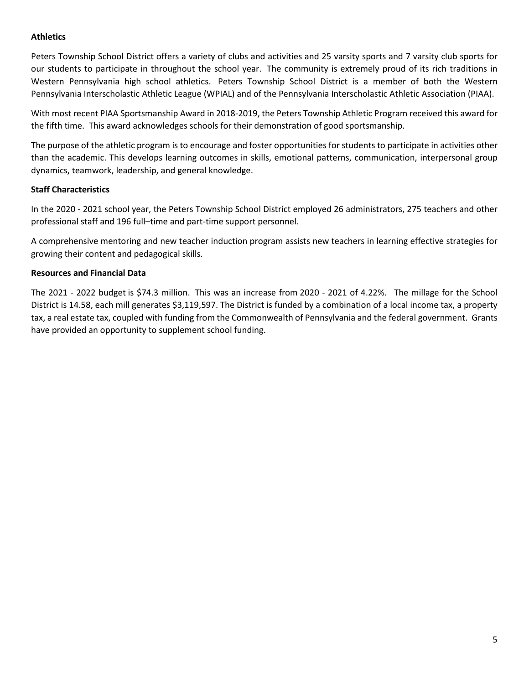#### **Athletics**

Peters Township School District offers a variety of clubs and activities and 25 varsity sports and 7 varsity club sports for our students to participate in throughout the school year. The community is extremely proud of its rich traditions in Western Pennsylvania high school athletics. Peters Township School District is a member of both the Western Pennsylvania Interscholastic Athletic League (WPIAL) and of the Pennsylvania Interscholastic Athletic Association (PIAA).

With most recent PIAA Sportsmanship Award in 2018-2019, the Peters Township Athletic Program received this award for the fifth time. This award acknowledges schools for their demonstration of good sportsmanship.

The purpose of the athletic program is to encourage and foster opportunities for students to participate in activities other than the academic. This develops learning outcomes in skills, emotional patterns, communication, interpersonal group dynamics, teamwork, leadership, and general knowledge.

#### **Staff Characteristics**

In the 2020 - 2021 school year, the Peters Township School District employed 26 administrators, 275 teachers and other professional staff and 196 full–time and part-time support personnel.

A comprehensive mentoring and new teacher induction program assists new teachers in learning effective strategies for growing their content and pedagogical skills.

#### **Resources and Financial Data**

The 2021 - 2022 budget is \$74.3 million. This was an increase from 2020 - 2021 of 4.22%. The millage for the School District is 14.58, each mill generates \$3,119,597. The District is funded by a combination of a local income tax, a property tax, a real estate tax, coupled with funding from the Commonwealth of Pennsylvania and the federal government. Grants have provided an opportunity to supplement school funding.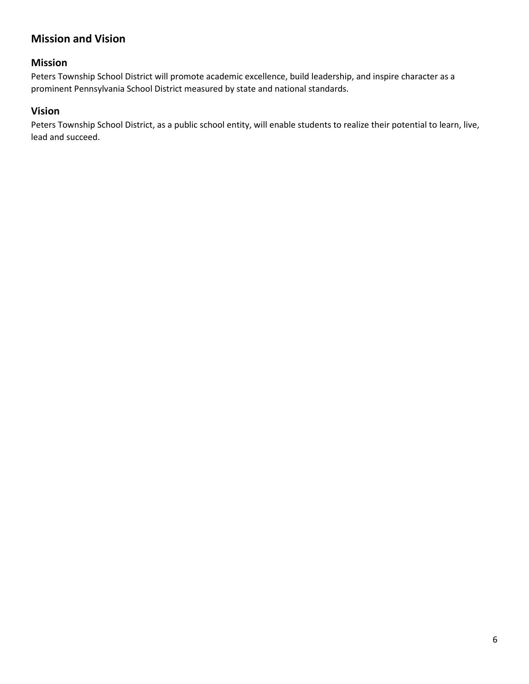### **Mission and Vision**

#### **Mission**

Peters Township School District will promote academic excellence, build leadership, and inspire character as a prominent Pennsylvania School District measured by state and national standards.

#### **Vision**

Peters Township School District, as a public school entity, will enable students to realize their potential to learn, live, lead and succeed.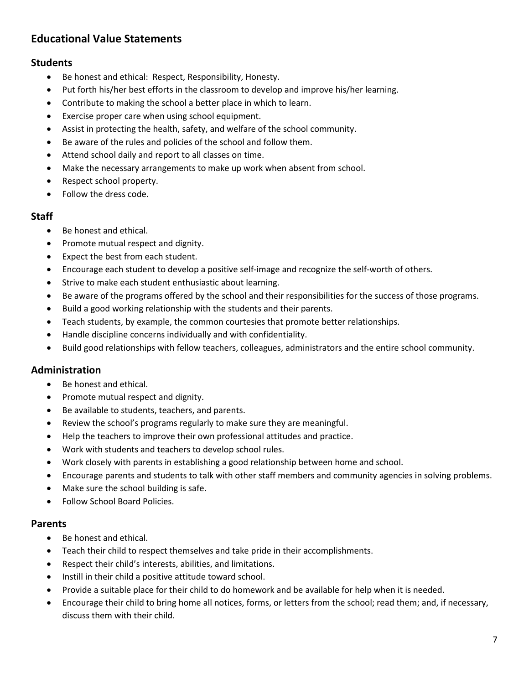### **Educational Value Statements**

#### **Students**

- Be honest and ethical: Respect, Responsibility, Honesty.
- Put forth his/her best efforts in the classroom to develop and improve his/her learning.
- Contribute to making the school a better place in which to learn.
- Exercise proper care when using school equipment.
- Assist in protecting the health, safety, and welfare of the school community.
- Be aware of the rules and policies of the school and follow them.
- Attend school daily and report to all classes on time.
- Make the necessary arrangements to make up work when absent from school.
- Respect school property.
- Follow the dress code.

#### **Staff**

- Be honest and ethical.
- Promote mutual respect and dignity.
- Expect the best from each student.
- Encourage each student to develop a positive self-image and recognize the self-worth of others.
- Strive to make each student enthusiastic about learning.
- Be aware of the programs offered by the school and their responsibilities for the success of those programs.
- Build a good working relationship with the students and their parents.
- Teach students, by example, the common courtesies that promote better relationships.
- Handle discipline concerns individually and with confidentiality.
- Build good relationships with fellow teachers, colleagues, administrators and the entire school community.

#### **Administration**

- Be honest and ethical.
- Promote mutual respect and dignity.
- Be available to students, teachers, and parents.
- Review the school's programs regularly to make sure they are meaningful.
- Help the teachers to improve their own professional attitudes and practice.
- Work with students and teachers to develop school rules.
- Work closely with parents in establishing a good relationship between home and school.
- Encourage parents and students to talk with other staff members and community agencies in solving problems.
- Make sure the school building is safe.
- Follow School Board Policies.

#### **Parents**

- Be honest and ethical.
- Teach their child to respect themselves and take pride in their accomplishments.
- Respect their child's interests, abilities, and limitations.
- Instill in their child a positive attitude toward school.
- Provide a suitable place for their child to do homework and be available for help when it is needed.
- Encourage their child to bring home all notices, forms, or letters from the school; read them; and, if necessary, discuss them with their child.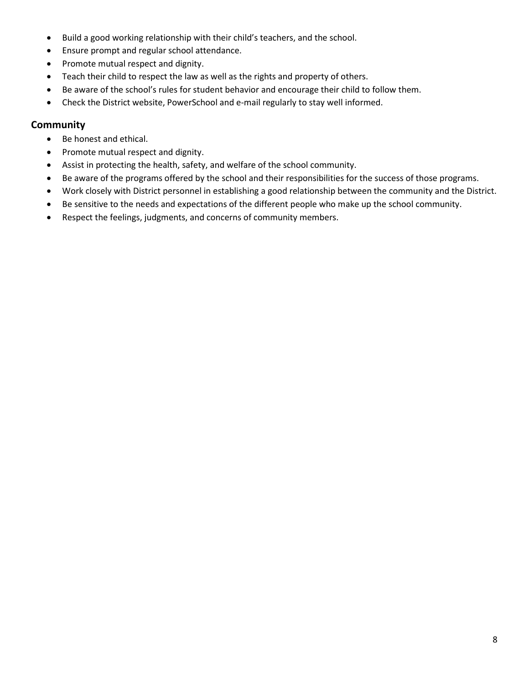- Build a good working relationship with their child's teachers, and the school.
- Ensure prompt and regular school attendance.
- Promote mutual respect and dignity.
- Teach their child to respect the law as well as the rights and property of others.
- Be aware of the school's rules for student behavior and encourage their child to follow them.
- Check the District website, PowerSchool and e-mail regularly to stay well informed.

#### **Community**

- Be honest and ethical.
- Promote mutual respect and dignity.
- Assist in protecting the health, safety, and welfare of the school community.
- Be aware of the programs offered by the school and their responsibilities for the success of those programs.
- Work closely with District personnel in establishing a good relationship between the community and the District.
- Be sensitive to the needs and expectations of the different people who make up the school community.
- Respect the feelings, judgments, and concerns of community members.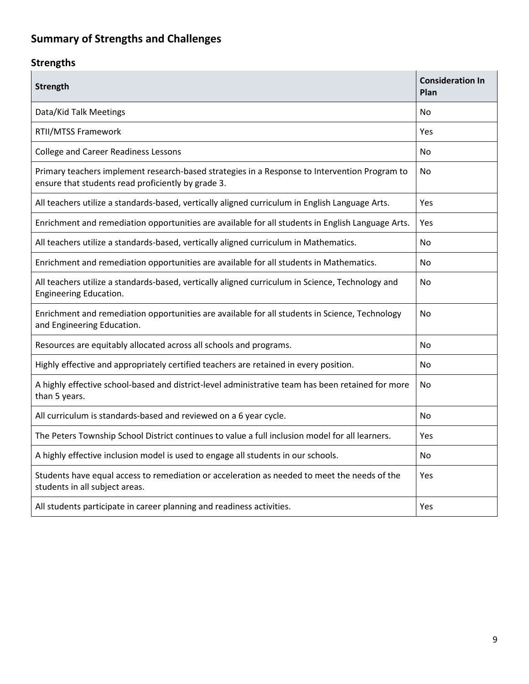# **Summary of Strengths and Challenges**

## **Strengths**

| <b>Strength</b>                                                                                                                                     | <b>Consideration In</b><br>Plan |
|-----------------------------------------------------------------------------------------------------------------------------------------------------|---------------------------------|
| Data/Kid Talk Meetings                                                                                                                              | No                              |
| RTII/MTSS Framework                                                                                                                                 | Yes                             |
| <b>College and Career Readiness Lessons</b>                                                                                                         | No                              |
| Primary teachers implement research-based strategies in a Response to Intervention Program to<br>ensure that students read proficiently by grade 3. | No.                             |
| All teachers utilize a standards-based, vertically aligned curriculum in English Language Arts.                                                     | Yes                             |
| Enrichment and remediation opportunities are available for all students in English Language Arts.                                                   | Yes                             |
| All teachers utilize a standards-based, vertically aligned curriculum in Mathematics.                                                               | No.                             |
| Enrichment and remediation opportunities are available for all students in Mathematics.                                                             | No.                             |
| All teachers utilize a standards-based, vertically aligned curriculum in Science, Technology and<br>Engineering Education.                          | No                              |
| Enrichment and remediation opportunities are available for all students in Science, Technology<br>and Engineering Education.                        | No                              |
| Resources are equitably allocated across all schools and programs.                                                                                  | No                              |
| Highly effective and appropriately certified teachers are retained in every position.                                                               | No.                             |
| A highly effective school-based and district-level administrative team has been retained for more<br>than 5 years.                                  | No                              |
| All curriculum is standards-based and reviewed on a 6 year cycle.                                                                                   | No.                             |
| The Peters Township School District continues to value a full inclusion model for all learners.                                                     | Yes                             |
| A highly effective inclusion model is used to engage all students in our schools.                                                                   | No                              |
| Students have equal access to remediation or acceleration as needed to meet the needs of the<br>students in all subject areas.                      | Yes                             |
| All students participate in career planning and readiness activities.                                                                               | Yes                             |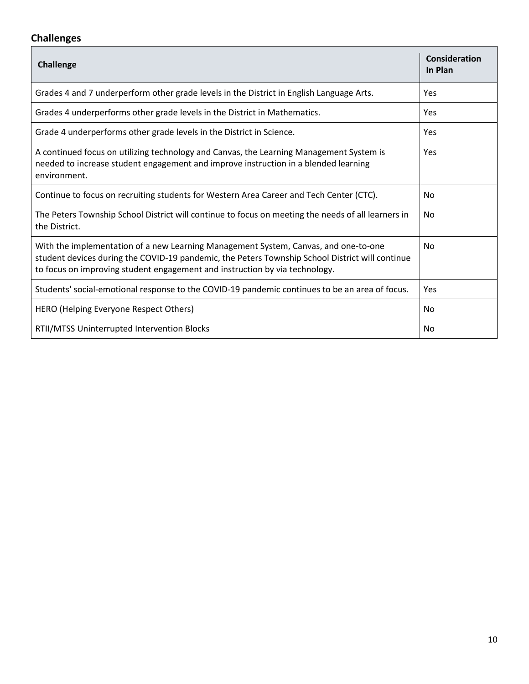### **Challenges**

| <b>Challenge</b>                                                                                                                                                                                                                                                      | Consideration<br>In Plan |
|-----------------------------------------------------------------------------------------------------------------------------------------------------------------------------------------------------------------------------------------------------------------------|--------------------------|
| Grades 4 and 7 underperform other grade levels in the District in English Language Arts.                                                                                                                                                                              | Yes                      |
| Grades 4 underperforms other grade levels in the District in Mathematics.                                                                                                                                                                                             | Yes                      |
| Grade 4 underperforms other grade levels in the District in Science.                                                                                                                                                                                                  | Yes                      |
| A continued focus on utilizing technology and Canvas, the Learning Management System is<br>needed to increase student engagement and improve instruction in a blended learning<br>environment.                                                                        | Yes                      |
| Continue to focus on recruiting students for Western Area Career and Tech Center (CTC).                                                                                                                                                                               | No                       |
| The Peters Township School District will continue to focus on meeting the needs of all learners in<br>the District.                                                                                                                                                   | No                       |
| With the implementation of a new Learning Management System, Canvas, and one-to-one<br>student devices during the COVID-19 pandemic, the Peters Township School District will continue<br>to focus on improving student engagement and instruction by via technology. | No                       |
| Students' social-emotional response to the COVID-19 pandemic continues to be an area of focus.                                                                                                                                                                        | Yes                      |
| HERO (Helping Everyone Respect Others)                                                                                                                                                                                                                                | No                       |
| RTII/MTSS Uninterrupted Intervention Blocks                                                                                                                                                                                                                           | No                       |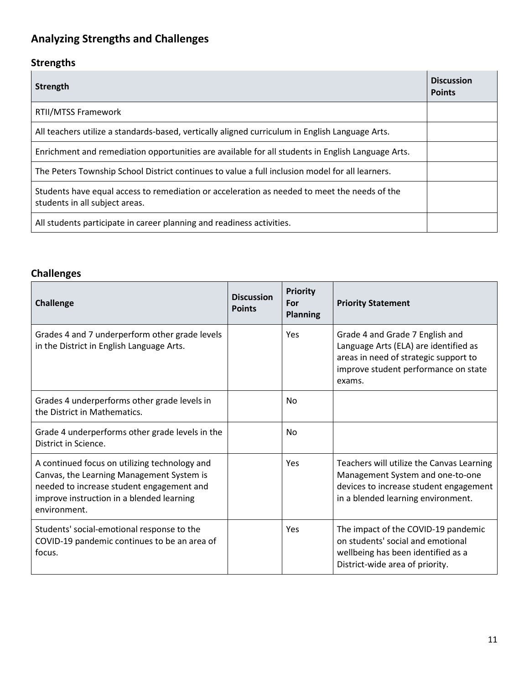# **Analyzing Strengths and Challenges**

## **Strengths**

| Strength                                                                                                                       | <b>Discussion</b><br><b>Points</b> |
|--------------------------------------------------------------------------------------------------------------------------------|------------------------------------|
| RTII/MTSS Framework                                                                                                            |                                    |
| All teachers utilize a standards-based, vertically aligned curriculum in English Language Arts.                                |                                    |
| Enrichment and remediation opportunities are available for all students in English Language Arts.                              |                                    |
| The Peters Township School District continues to value a full inclusion model for all learners.                                |                                    |
| Students have equal access to remediation or acceleration as needed to meet the needs of the<br>students in all subject areas. |                                    |
| All students participate in career planning and readiness activities.                                                          |                                    |

## **Challenges**

| <b>Challenge</b>                                                                                                                                                                                     | <b>Discussion</b><br><b>Points</b> | <b>Priority</b><br>For<br><b>Planning</b> | <b>Priority Statement</b>                                                                                                                                           |
|------------------------------------------------------------------------------------------------------------------------------------------------------------------------------------------------------|------------------------------------|-------------------------------------------|---------------------------------------------------------------------------------------------------------------------------------------------------------------------|
| Grades 4 and 7 underperform other grade levels<br>in the District in English Language Arts.                                                                                                          |                                    | Yes                                       | Grade 4 and Grade 7 English and<br>Language Arts (ELA) are identified as<br>areas in need of strategic support to<br>improve student performance on state<br>exams. |
| Grades 4 underperforms other grade levels in<br>the District in Mathematics.                                                                                                                         |                                    | No                                        |                                                                                                                                                                     |
| Grade 4 underperforms other grade levels in the<br>District in Science.                                                                                                                              |                                    | No                                        |                                                                                                                                                                     |
| A continued focus on utilizing technology and<br>Canvas, the Learning Management System is<br>needed to increase student engagement and<br>improve instruction in a blended learning<br>environment. |                                    | Yes                                       | Teachers will utilize the Canvas Learning<br>Management System and one-to-one<br>devices to increase student engagement<br>in a blended learning environment.       |
| Students' social-emotional response to the<br>COVID-19 pandemic continues to be an area of<br>focus.                                                                                                 |                                    | Yes                                       | The impact of the COVID-19 pandemic<br>on students' social and emotional<br>wellbeing has been identified as a<br>District-wide area of priority.                   |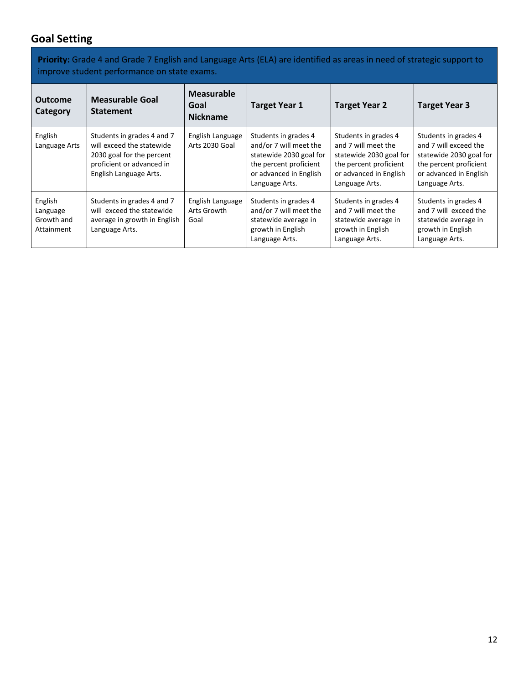## **Goal Setting**

**Priority:** Grade 4 and Grade 7 English and Language Arts (ELA) are identified as areas in need of strategic support to improve student performance on state exams.

| <b>Outcome</b><br>Category                      | <b>Measurable Goal</b><br><b>Statement</b>                                                                                                  | <b>Measurable</b><br>Goal<br><b>Nickname</b> | <b>Target Year 1</b>                                                                                                                            | <b>Target Year 2</b>                                                                                                                         | <b>Target Year 3</b>                                                                                                                           |
|-------------------------------------------------|---------------------------------------------------------------------------------------------------------------------------------------------|----------------------------------------------|-------------------------------------------------------------------------------------------------------------------------------------------------|----------------------------------------------------------------------------------------------------------------------------------------------|------------------------------------------------------------------------------------------------------------------------------------------------|
| English<br>Language Arts                        | Students in grades 4 and 7<br>will exceed the statewide<br>2030 goal for the percent<br>proficient or advanced in<br>English Language Arts. | English Language<br>Arts 2030 Goal           | Students in grades 4<br>and/or 7 will meet the<br>statewide 2030 goal for<br>the percent proficient<br>or advanced in English<br>Language Arts. | Students in grades 4<br>and 7 will meet the<br>statewide 2030 goal for<br>the percent proficient<br>or advanced in English<br>Language Arts. | Students in grades 4<br>and 7 will exceed the<br>statewide 2030 goal for<br>the percent proficient<br>or advanced in English<br>Language Arts. |
| English<br>Language<br>Growth and<br>Attainment | Students in grades 4 and 7<br>will exceed the statewide<br>average in growth in English<br>Language Arts.                                   | English Language<br>Arts Growth<br>Goal      | Students in grades 4<br>and/or 7 will meet the<br>statewide average in<br>growth in English<br>Language Arts.                                   | Students in grades 4<br>and 7 will meet the<br>statewide average in<br>growth in English<br>Language Arts.                                   | Students in grades 4<br>and 7 will exceed the<br>statewide average in<br>growth in English<br>Language Arts.                                   |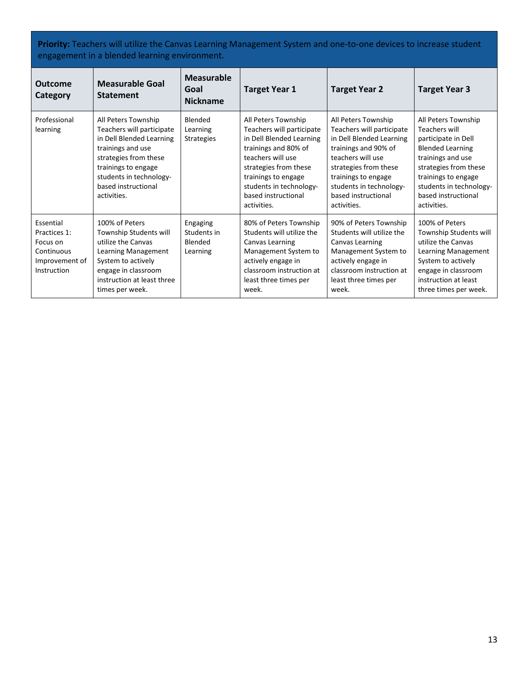**Priority:** Teachers will utilize the Canvas Learning Management System and one-to-one devices to increase student engagement in a blended learning environment.

| <b>Outcome</b><br><b>Category</b>                                                    | <b>Measurable Goal</b><br><b>Statement</b>                                                                                                                                                                         | <b>Measurable</b><br>Goal<br><b>Nickname</b>   | <b>Target Year 1</b>                                                                                                                                                                                                                       | <b>Target Year 2</b>                                                                                                                                                                                                                       | <b>Target Year 3</b>                                                                                                                                                                                                         |
|--------------------------------------------------------------------------------------|--------------------------------------------------------------------------------------------------------------------------------------------------------------------------------------------------------------------|------------------------------------------------|--------------------------------------------------------------------------------------------------------------------------------------------------------------------------------------------------------------------------------------------|--------------------------------------------------------------------------------------------------------------------------------------------------------------------------------------------------------------------------------------------|------------------------------------------------------------------------------------------------------------------------------------------------------------------------------------------------------------------------------|
| Professional<br>learning                                                             | All Peters Township<br>Teachers will participate<br>in Dell Blended Learning<br>trainings and use<br>strategies from these<br>trainings to engage<br>students in technology-<br>based instructional<br>activities. | Blended<br>Learning<br><b>Strategies</b>       | All Peters Township<br>Teachers will participate<br>in Dell Blended Learning<br>trainings and 80% of<br>teachers will use<br>strategies from these<br>trainings to engage<br>students in technology-<br>based instructional<br>activities. | All Peters Township<br>Teachers will participate<br>in Dell Blended Learning<br>trainings and 90% of<br>teachers will use<br>strategies from these<br>trainings to engage<br>students in technology-<br>based instructional<br>activities. | All Peters Township<br>Teachers will<br>participate in Dell<br><b>Blended Learning</b><br>trainings and use<br>strategies from these<br>trainings to engage<br>students in technology-<br>based instructional<br>activities. |
| Essential<br>Practices 1:<br>Focus on<br>Continuous<br>Improvement of<br>Instruction | 100% of Peters<br>Township Students will<br>utilize the Canvas<br>Learning Management<br>System to actively<br>engage in classroom<br>instruction at least three<br>times per week.                                | Engaging<br>Students in<br>Blended<br>Learning | 80% of Peters Township<br>Students will utilize the<br>Canvas Learning<br>Management System to<br>actively engage in<br>classroom instruction at<br>least three times per<br>week.                                                         | 90% of Peters Township<br>Students will utilize the<br>Canvas Learning<br>Management System to<br>actively engage in<br>classroom instruction at<br>least three times per<br>week.                                                         | 100% of Peters<br>Township Students will<br>utilize the Canvas<br>Learning Management<br>System to actively<br>engage in classroom<br>instruction at least<br>three times per week.                                          |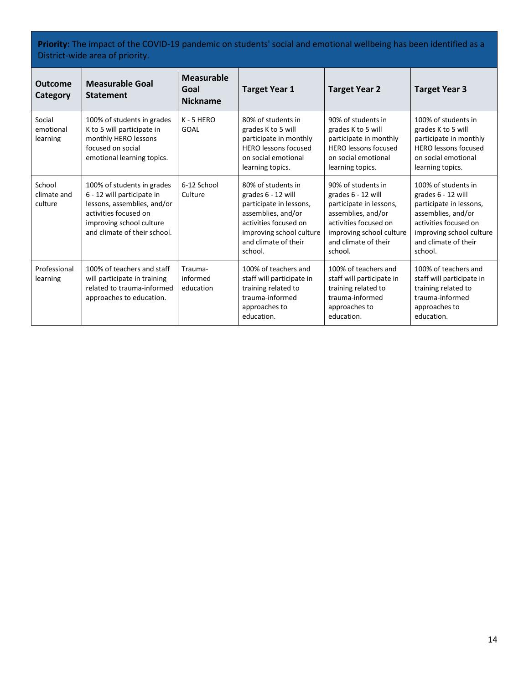**Priority:** The impact of the COVID-19 pandemic on students' social and emotional wellbeing has been identified as a District-wide area of priority.

| <b>Outcome</b><br>Category       | <b>Measurable Goal</b><br><b>Statement</b>                                                                                                                                   | <b>Measurable</b><br>Goal<br><b>Nickname</b> | <b>Target Year 1</b>                                                                                                                                                              | <b>Target Year 2</b>                                                                                                                                                              | <b>Target Year 3</b>                                                                                                                                                               |
|----------------------------------|------------------------------------------------------------------------------------------------------------------------------------------------------------------------------|----------------------------------------------|-----------------------------------------------------------------------------------------------------------------------------------------------------------------------------------|-----------------------------------------------------------------------------------------------------------------------------------------------------------------------------------|------------------------------------------------------------------------------------------------------------------------------------------------------------------------------------|
| Social<br>emotional<br>learning  | 100% of students in grades<br>K to 5 will participate in<br>monthly HERO lessons<br>focused on social<br>emotional learning topics.                                          | $K - 5$ HERO<br>GOAL                         | 80% of students in<br>grades K to 5 will<br>participate in monthly<br><b>HERO</b> lessons focused<br>on social emotional<br>learning topics.                                      | 90% of students in<br>grades K to 5 will<br>participate in monthly<br><b>HERO</b> lessons focused<br>on social emotional<br>learning topics.                                      | 100% of students in<br>grades K to 5 will<br>participate in monthly<br><b>HERO</b> lessons focused<br>on social emotional<br>learning topics.                                      |
| School<br>climate and<br>culture | 100% of students in grades<br>6 - 12 will participate in<br>lessons, assemblies, and/or<br>activities focused on<br>improving school culture<br>and climate of their school. | 6-12 School<br>Culture                       | 80% of students in<br>grades 6 - 12 will<br>participate in lessons,<br>assemblies, and/or<br>activities focused on<br>improving school culture<br>and climate of their<br>school. | 90% of students in<br>grades 6 - 12 will<br>participate in lessons,<br>assemblies, and/or<br>activities focused on<br>improving school culture<br>and climate of their<br>school. | 100% of students in<br>grades 6 - 12 will<br>participate in lessons,<br>assemblies, and/or<br>activities focused on<br>improving school culture<br>and climate of their<br>school. |
| Professional<br>learning         | 100% of teachers and staff<br>will participate in training<br>related to trauma-informed<br>approaches to education.                                                         | Trauma-<br>informed<br>education             | 100% of teachers and<br>staff will participate in<br>training related to<br>trauma-informed<br>approaches to<br>education.                                                        | 100% of teachers and<br>staff will participate in<br>training related to<br>trauma-informed<br>approaches to<br>education.                                                        | 100% of teachers and<br>staff will participate in<br>training related to<br>trauma-informed<br>approaches to<br>education.                                                         |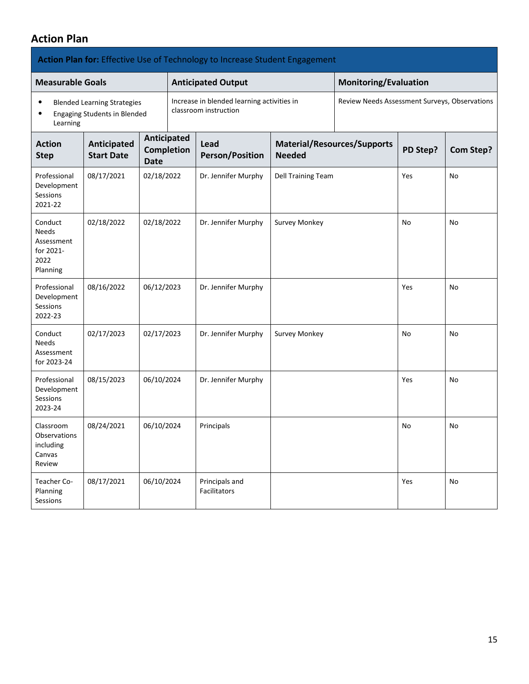### **Action Plan**

|                                                                        |                                                                           |                                                 | Action Plan for: Effective Use of Technology to Increase Student Engagement |                                               |                                    |          |                  |
|------------------------------------------------------------------------|---------------------------------------------------------------------------|-------------------------------------------------|-----------------------------------------------------------------------------|-----------------------------------------------|------------------------------------|----------|------------------|
| <b>Measurable Goals</b>                                                |                                                                           |                                                 | <b>Anticipated Output</b>                                                   |                                               | <b>Monitoring/Evaluation</b>       |          |                  |
| ٠<br>٠<br>Learning                                                     | <b>Blended Learning Strategies</b><br><b>Engaging Students in Blended</b> |                                                 | Increase in blended learning activities in<br>classroom instruction         | Review Needs Assessment Surveys, Observations |                                    |          |                  |
| <b>Action</b><br><b>Step</b>                                           | Anticipated<br><b>Start Date</b>                                          | Anticipated<br><b>Completion</b><br><b>Date</b> | Lead<br><b>Person/Position</b>                                              | <b>Needed</b>                                 | <b>Material/Resources/Supports</b> | PD Step? | <b>Com Step?</b> |
| Professional<br>Development<br>Sessions<br>2021-22                     | 08/17/2021                                                                | 02/18/2022                                      | Dr. Jennifer Murphy                                                         | Dell Training Team                            |                                    | Yes      | No               |
| Conduct<br><b>Needs</b><br>Assessment<br>for 2021-<br>2022<br>Planning | 02/18/2022                                                                | 02/18/2022                                      | Dr. Jennifer Murphy                                                         | <b>Survey Monkey</b>                          |                                    | No       | No               |
| Professional<br>Development<br>Sessions<br>2022-23                     | 08/16/2022                                                                | 06/12/2023                                      | Dr. Jennifer Murphy                                                         |                                               |                                    | Yes      | No               |
| Conduct<br><b>Needs</b><br>Assessment<br>for 2023-24                   | 02/17/2023                                                                | 02/17/2023                                      | Dr. Jennifer Murphy                                                         | Survey Monkey                                 |                                    | No       | No               |
| Professional<br>Development<br>Sessions<br>2023-24                     | 08/15/2023                                                                | 06/10/2024                                      | Dr. Jennifer Murphy                                                         |                                               |                                    | Yes      | No               |
| Classroom<br>Observations<br>including<br>Canvas<br>Review             | 08/24/2021                                                                | 06/10/2024                                      | Principals                                                                  |                                               |                                    | No       | No               |
| Teacher Co-<br>Planning<br>Sessions                                    | 08/17/2021                                                                | 06/10/2024                                      | Principals and<br>Facilitators                                              |                                               |                                    | Yes      | No               |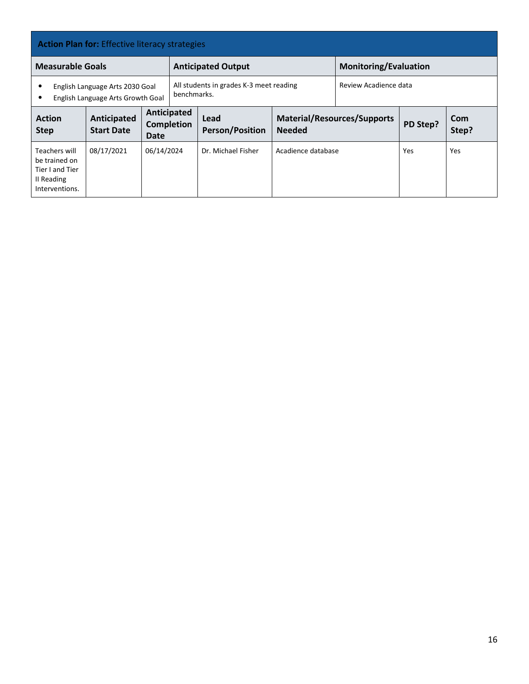| <b>Action Plan for:</b> Effective literacy strategies                             |                                                                      |                     |                                                                                 |                                |                                                     |                              |          |              |
|-----------------------------------------------------------------------------------|----------------------------------------------------------------------|---------------------|---------------------------------------------------------------------------------|--------------------------------|-----------------------------------------------------|------------------------------|----------|--------------|
| <b>Measurable Goals</b>                                                           |                                                                      |                     | <b>Anticipated Output</b>                                                       |                                |                                                     | <b>Monitoring/Evaluation</b> |          |              |
| ٠                                                                                 | English Language Arts 2030 Goal<br>English Language Arts Growth Goal |                     | Review Acadience data<br>All students in grades K-3 meet reading<br>benchmarks. |                                |                                                     |                              |          |              |
| <b>Action</b><br><b>Step</b>                                                      | Anticipated<br><b>Start Date</b>                                     | Anticipated<br>Date | <b>Completion</b>                                                               | Lead<br><b>Person/Position</b> | <b>Material/Resources/Supports</b><br><b>Needed</b> |                              | PD Step? | Com<br>Step? |
| Teachers will<br>be trained on<br>Tier I and Tier<br>II Reading<br>Interventions. | 08/17/2021                                                           | 06/14/2024          |                                                                                 | Dr. Michael Fisher             | Acadience database                                  |                              | Yes      | Yes          |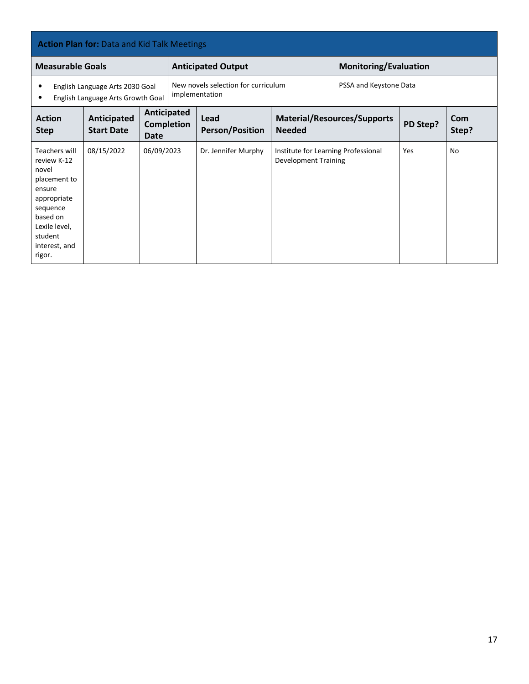| <b>Action Plan for: Data and Kid Talk Meetings</b>                                                                                                            |                                                                      |                                          |                                                                                 |                                |                                                                    |                              |          |              |  |
|---------------------------------------------------------------------------------------------------------------------------------------------------------------|----------------------------------------------------------------------|------------------------------------------|---------------------------------------------------------------------------------|--------------------------------|--------------------------------------------------------------------|------------------------------|----------|--------------|--|
| <b>Measurable Goals</b>                                                                                                                                       |                                                                      |                                          |                                                                                 | <b>Anticipated Output</b>      |                                                                    | <b>Monitoring/Evaluation</b> |          |              |  |
| $\bullet$<br>٠                                                                                                                                                | English Language Arts 2030 Goal<br>English Language Arts Growth Goal |                                          | New novels selection for curriculum<br>PSSA and Keystone Data<br>implementation |                                |                                                                    |                              |          |              |  |
| <b>Action</b><br><b>Step</b>                                                                                                                                  | Anticipated<br><b>Start Date</b>                                     | Anticipated<br><b>Completion</b><br>Date |                                                                                 | Lead<br><b>Person/Position</b> | <b>Material/Resources/Supports</b><br><b>Needed</b>                |                              | PD Step? | Com<br>Step? |  |
| Teachers will<br>review K-12<br>novel<br>placement to<br>ensure<br>appropriate<br>sequence<br>based on<br>Lexile level,<br>student<br>interest, and<br>rigor. | 08/15/2022                                                           | 06/09/2023                               |                                                                                 | Dr. Jennifer Murphy            | Institute for Learning Professional<br><b>Development Training</b> |                              | Yes      | No           |  |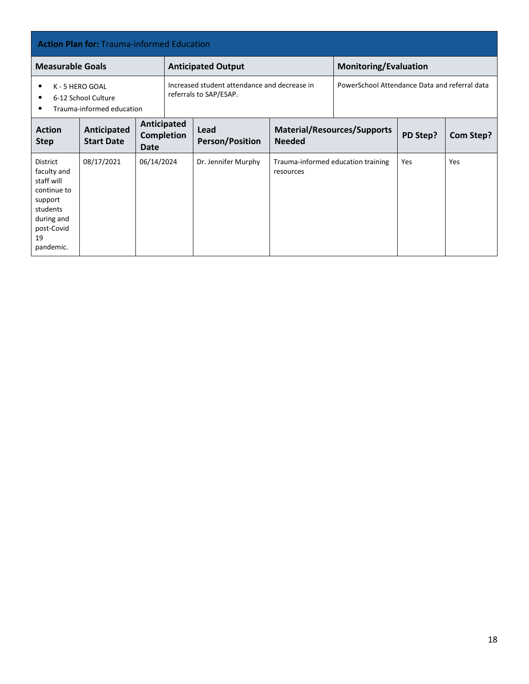| <b>Action Plan for: Trauma-informed Education</b>                                                              |                                  |                            |                   |                                                                        |                                                     |  |                              |           |  |  |
|----------------------------------------------------------------------------------------------------------------|----------------------------------|----------------------------|-------------------|------------------------------------------------------------------------|-----------------------------------------------------|--|------------------------------|-----------|--|--|
| <b>Measurable Goals</b>                                                                                        |                                  |                            |                   | <b>Anticipated Output</b>                                              |                                                     |  | <b>Monitoring/Evaluation</b> |           |  |  |
| K - 5 HERO GOAL<br>$\bullet$<br>6-12 School Culture<br>$\bullet$<br>Trauma-informed education<br>$\bullet$     |                                  |                            |                   | Increased student attendance and decrease in<br>referrals to SAP/ESAP. | PowerSchool Attendance Data and referral data       |  |                              |           |  |  |
| <b>Action</b><br><b>Step</b>                                                                                   | Anticipated<br><b>Start Date</b> | Anticipated<br><b>Date</b> | <b>Completion</b> | Lead<br><b>Person/Position</b>                                         | <b>Material/Resources/Supports</b><br><b>Needed</b> |  | PD Step?                     | Com Step? |  |  |
| <b>District</b><br>faculty and<br>staff will<br>continue to<br>support<br>students<br>during and<br>post-Covid | 08/17/2021                       | 06/14/2024                 |                   | Dr. Jennifer Murphy                                                    | Trauma-informed education training<br>resources     |  | Yes                          | Yes       |  |  |

 $19$ pandemic.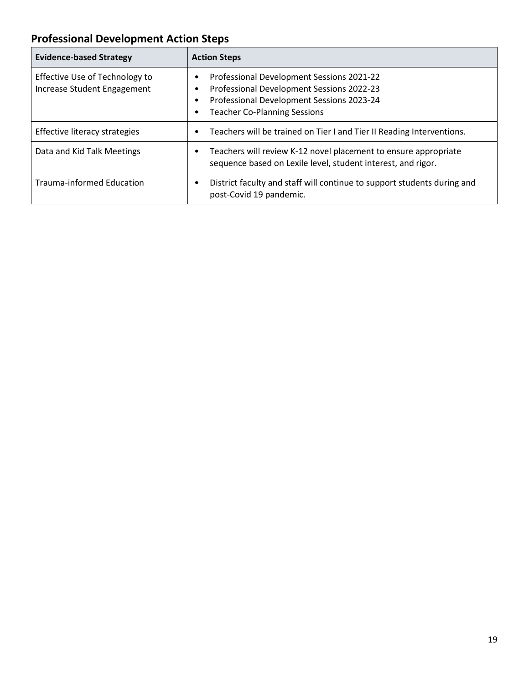# **Professional Development Action Steps**

| <b>Evidence-based Strategy</b>                                | <b>Action Steps</b>                                                                                                                                                        |
|---------------------------------------------------------------|----------------------------------------------------------------------------------------------------------------------------------------------------------------------------|
| Effective Use of Technology to<br>Increase Student Engagement | Professional Development Sessions 2021-22<br>Professional Development Sessions 2022-23<br>Professional Development Sessions 2023-24<br><b>Teacher Co-Planning Sessions</b> |
| Effective literacy strategies                                 | Teachers will be trained on Tier I and Tier II Reading Interventions.                                                                                                      |
| Data and Kid Talk Meetings                                    | Teachers will review K-12 novel placement to ensure appropriate<br>sequence based on Lexile level, student interest, and rigor.                                            |
| <b>Trauma-informed Education</b>                              | District faculty and staff will continue to support students during and<br>post-Covid 19 pandemic.                                                                         |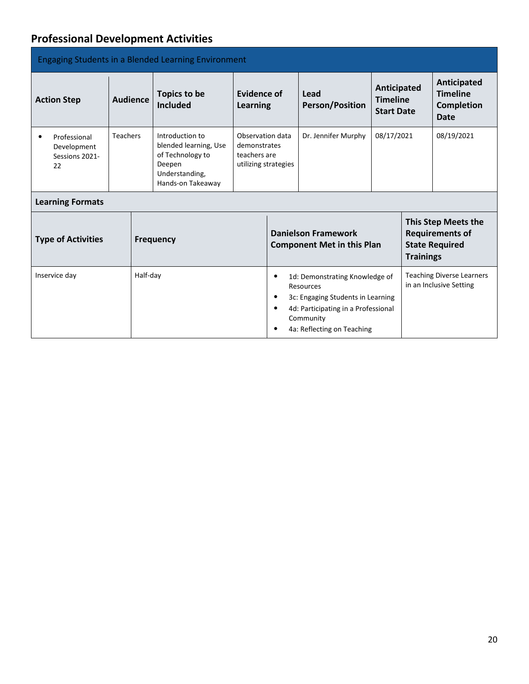## **Professional Development Activities**

| <b>Engaging Students in a Blended Learning Environment</b>       |                                                    |          |                                                                                                               |                                                                          |                                |                                                                                                                                                                    |            |                                                             |                                                                               |
|------------------------------------------------------------------|----------------------------------------------------|----------|---------------------------------------------------------------------------------------------------------------|--------------------------------------------------------------------------|--------------------------------|--------------------------------------------------------------------------------------------------------------------------------------------------------------------|------------|-------------------------------------------------------------|-------------------------------------------------------------------------------|
| <b>Action Step</b>                                               | Topics to be<br><b>Audience</b><br><b>Included</b> |          | Evidence of<br><b>Learning</b>                                                                                |                                                                          | Lead<br><b>Person/Position</b> | Anticipated<br><b>Timeline</b><br><b>Start Date</b>                                                                                                                |            | Anticipated<br><b>Timeline</b><br><b>Completion</b><br>Date |                                                                               |
| Professional<br>$\bullet$<br>Development<br>Sessions 2021-<br>22 | <b>Teachers</b>                                    |          | Introduction to<br>blended learning, Use<br>of Technology to<br>Deepen<br>Understanding,<br>Hands-on Takeaway | Observation data<br>demonstrates<br>teachers are<br>utilizing strategies |                                | Dr. Jennifer Murphy                                                                                                                                                | 08/17/2021 |                                                             | 08/19/2021                                                                    |
| <b>Learning Formats</b>                                          |                                                    |          |                                                                                                               |                                                                          |                                |                                                                                                                                                                    |            |                                                             |                                                                               |
| <b>Type of Activities</b>                                        |                                                    |          | <b>Frequency</b>                                                                                              |                                                                          |                                | <b>Danielson Framework</b><br><b>Component Met in this Plan</b>                                                                                                    |            | <b>Trainings</b>                                            | <b>This Step Meets the</b><br><b>Requirements of</b><br><b>State Required</b> |
| Inservice day                                                    |                                                    | Half-day |                                                                                                               |                                                                          | ٠<br>$\bullet$<br>$\bullet$    | 1d: Demonstrating Knowledge of<br>Resources<br>3c: Engaging Students in Learning<br>4d: Participating in a Professional<br>Community<br>4a: Reflecting on Teaching |            |                                                             | <b>Teaching Diverse Learners</b><br>in an Inclusive Setting                   |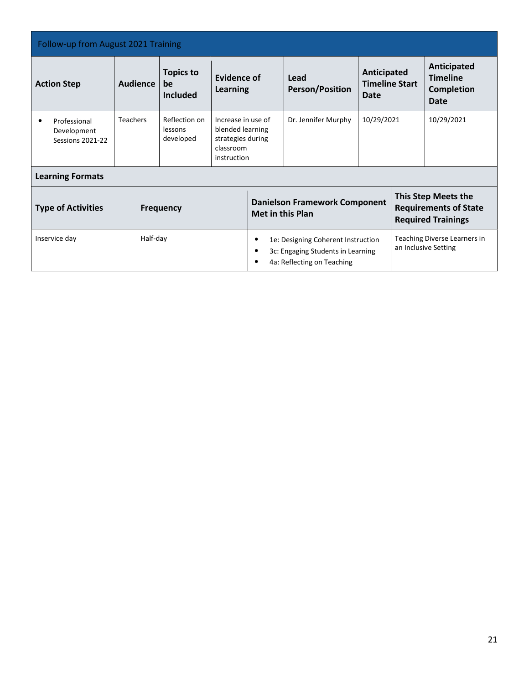| Follow-up from August 2021 Training                    |                 |          |                                           |                                                                                         |                                                                                                            |                                |                                                                                  |  |                                                                    |
|--------------------------------------------------------|-----------------|----------|-------------------------------------------|-----------------------------------------------------------------------------------------|------------------------------------------------------------------------------------------------------------|--------------------------------|----------------------------------------------------------------------------------|--|--------------------------------------------------------------------|
| <b>Action Step</b>                                     | <b>Audience</b> |          | <b>Topics to</b><br>be<br><b>Included</b> | Evidence of<br>Learning                                                                 |                                                                                                            | Lead<br><b>Person/Position</b> | Anticipated<br><b>Timeline Start</b><br>Date                                     |  | Anticipated<br><b>Timeline</b><br><b>Completion</b><br><b>Date</b> |
| Professional<br>Development<br><b>Sessions 2021-22</b> | <b>Teachers</b> |          | Reflection on<br>lessons<br>developed     | Increase in use of<br>blended learning<br>strategies during<br>classroom<br>instruction |                                                                                                            | Dr. Jennifer Murphy            | 10/29/2021                                                                       |  | 10/29/2021                                                         |
| <b>Learning Formats</b>                                |                 |          |                                           |                                                                                         |                                                                                                            |                                |                                                                                  |  |                                                                    |
| <b>Type of Activities</b><br><b>Frequency</b>          |                 |          | <b>Met in this Plan</b>                   | <b>Danielson Framework Component</b>                                                    |                                                                                                            |                                | This Step Meets the<br><b>Requirements of State</b><br><b>Required Trainings</b> |  |                                                                    |
| Inservice day                                          |                 | Half-day |                                           |                                                                                         | 1e: Designing Coherent Instruction<br>3c: Engaging Students in Learning<br>٠<br>4a: Reflecting on Teaching |                                |                                                                                  |  | Teaching Diverse Learners in<br>an Inclusive Setting               |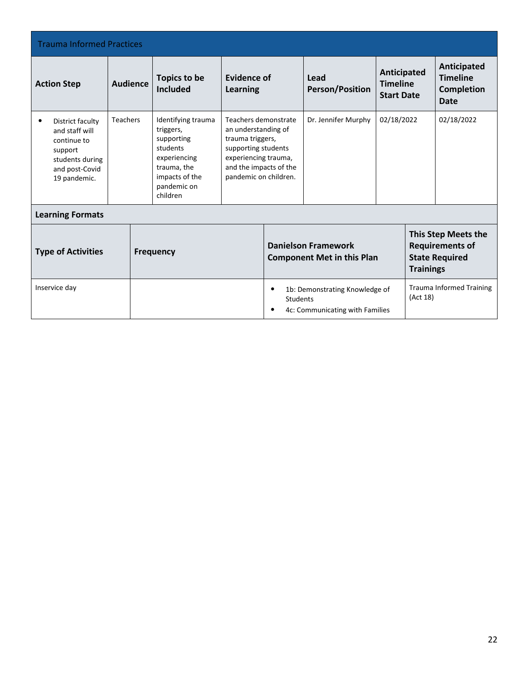| <b>Trauma Informed Practices</b>                                                                                               |                 |                                                                                                                                                               |                                                                                                                                                                   |                       |                                                                   |                                                     |          |                                                                    |  |
|--------------------------------------------------------------------------------------------------------------------------------|-----------------|---------------------------------------------------------------------------------------------------------------------------------------------------------------|-------------------------------------------------------------------------------------------------------------------------------------------------------------------|-----------------------|-------------------------------------------------------------------|-----------------------------------------------------|----------|--------------------------------------------------------------------|--|
| <b>Action Step</b>                                                                                                             | <b>Audience</b> | <b>Topics to be</b><br><b>Included</b>                                                                                                                        | Evidence of<br><b>Learning</b>                                                                                                                                    |                       | Lead<br><b>Person/Position</b>                                    | Anticipated<br><b>Timeline</b><br><b>Start Date</b> |          | Anticipated<br><b>Timeline</b><br><b>Completion</b><br><b>Date</b> |  |
| District faculty<br>$\bullet$<br>and staff will<br>continue to<br>support<br>students during<br>and post-Covid<br>19 pandemic. | <b>Teachers</b> | Identifying trauma<br>triggers,<br>supporting<br>students<br>experiencing<br>trauma, the<br>impacts of the<br>pandemic on<br>children                         | Teachers demonstrate<br>an understanding of<br>trauma triggers,<br>supporting students<br>experiencing trauma,<br>and the impacts of the<br>pandemic on children. |                       | Dr. Jennifer Murphy                                               | 02/18/2022                                          |          | 02/18/2022                                                         |  |
| <b>Learning Formats</b>                                                                                                        |                 |                                                                                                                                                               |                                                                                                                                                                   |                       |                                                                   |                                                     |          |                                                                    |  |
| <b>Type of Activities</b><br><b>Frequency</b>                                                                                  |                 | This Step Meets the<br><b>Danielson Framework</b><br><b>Requirements of</b><br><b>Component Met in this Plan</b><br><b>State Required</b><br><b>Trainings</b> |                                                                                                                                                                   |                       |                                                                   |                                                     |          |                                                                    |  |
| Inservice day                                                                                                                  |                 |                                                                                                                                                               |                                                                                                                                                                   | $\bullet$<br>Students | 1b: Demonstrating Knowledge of<br>4c: Communicating with Families |                                                     | (Act 18) | <b>Trauma Informed Training</b>                                    |  |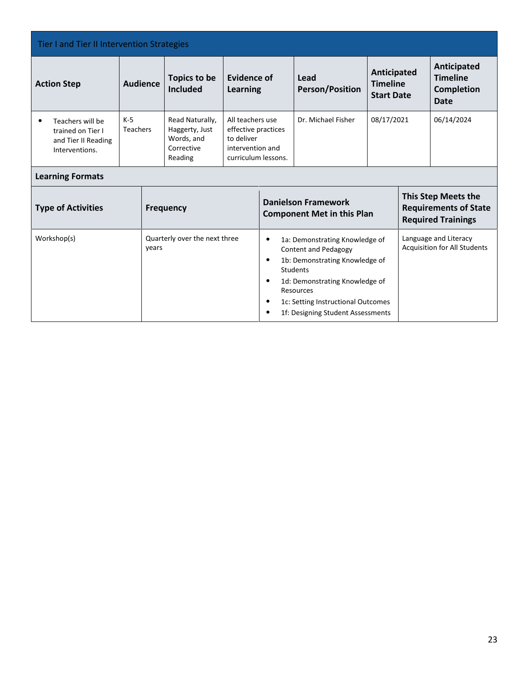| Tier I and Tier II Intervention Strategies                                                  |                          |       |                                                                          |                                                                                                  |                                                                                                                                                                                                                                                   |                                                     |                                                                                  |                                                                    |                                                       |
|---------------------------------------------------------------------------------------------|--------------------------|-------|--------------------------------------------------------------------------|--------------------------------------------------------------------------------------------------|---------------------------------------------------------------------------------------------------------------------------------------------------------------------------------------------------------------------------------------------------|-----------------------------------------------------|----------------------------------------------------------------------------------|--------------------------------------------------------------------|-------------------------------------------------------|
| <b>Action Step</b>                                                                          | <b>Audience</b>          |       | <b>Topics to be</b><br><b>Included</b>                                   | <b>Evidence of</b><br>Lead<br><b>Person/Position</b><br><b>Learning</b>                          |                                                                                                                                                                                                                                                   | Anticipated<br><b>Timeline</b><br><b>Start Date</b> |                                                                                  | Anticipated<br><b>Timeline</b><br><b>Completion</b><br><b>Date</b> |                                                       |
| Teachers will be<br>$\bullet$<br>trained on Tier I<br>and Tier II Reading<br>Interventions. | $K-5$<br><b>Teachers</b> |       | Read Naturally,<br>Haggerty, Just<br>Words, and<br>Corrective<br>Reading | All teachers use<br>effective practices<br>to deliver<br>intervention and<br>curriculum lessons. |                                                                                                                                                                                                                                                   | Dr. Michael Fisher                                  | 08/17/2021                                                                       |                                                                    | 06/14/2024                                            |
| <b>Learning Formats</b>                                                                     |                          |       |                                                                          |                                                                                                  |                                                                                                                                                                                                                                                   |                                                     |                                                                                  |                                                                    |                                                       |
| <b>Type of Activities</b><br><b>Frequency</b>                                               |                          |       |                                                                          | <b>Danielson Framework</b><br><b>Component Met in this Plan</b>                                  |                                                                                                                                                                                                                                                   |                                                     | This Step Meets the<br><b>Requirements of State</b><br><b>Required Trainings</b> |                                                                    |                                                       |
| Workshop(s)                                                                                 |                          | years | Quarterly over the next three                                            |                                                                                                  | 1a: Demonstrating Knowledge of<br>٠<br><b>Content and Pedagogy</b><br>1b: Demonstrating Knowledge of<br><b>Students</b><br>1d: Demonstrating Knowledge of<br>Resources<br>1c: Setting Instructional Outcomes<br>1f: Designing Student Assessments |                                                     |                                                                                  |                                                                    | Language and Literacy<br>Acquisition for All Students |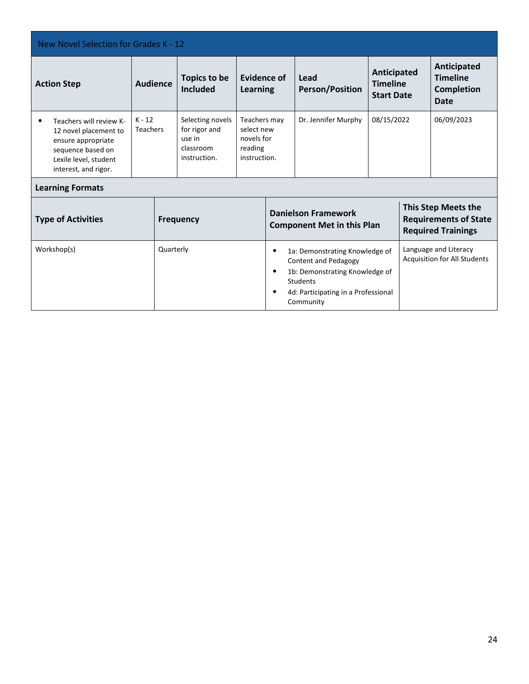| New Novel Selection for Grades K - 12                                                                                                        |                             |                                                                                                                                                                                                                          |                                                                          |                                                                     |  |                                |                                                                                         |  |                                                             |
|----------------------------------------------------------------------------------------------------------------------------------------------|-----------------------------|--------------------------------------------------------------------------------------------------------------------------------------------------------------------------------------------------------------------------|--------------------------------------------------------------------------|---------------------------------------------------------------------|--|--------------------------------|-----------------------------------------------------------------------------------------|--|-------------------------------------------------------------|
| <b>Action Step</b>                                                                                                                           | <b>Audience</b>             |                                                                                                                                                                                                                          | Topics to be<br><b>Included</b>                                          | Evidence of<br><b>Learning</b>                                      |  | Lead<br><b>Person/Position</b> | Anticipated<br><b>Timeline</b><br><b>Start Date</b>                                     |  | Anticipated<br><b>Timeline</b><br><b>Completion</b><br>Date |
| Teachers will review K-<br>12 novel placement to<br>ensure appropriate<br>sequence based on<br>Lexile level, student<br>interest, and rigor. | $K - 12$<br><b>Teachers</b> |                                                                                                                                                                                                                          | Selecting novels<br>for rigor and<br>use in<br>classroom<br>instruction. | Teachers may<br>select new<br>novels for<br>reading<br>instruction. |  | Dr. Jennifer Murphy            | 08/15/2022                                                                              |  | 06/09/2023                                                  |
| <b>Learning Formats</b>                                                                                                                      |                             |                                                                                                                                                                                                                          |                                                                          |                                                                     |  |                                |                                                                                         |  |                                                             |
| <b>Type of Activities</b><br><b>Frequency</b>                                                                                                |                             |                                                                                                                                                                                                                          |                                                                          | <b>Danielson Framework</b><br><b>Component Met in this Plan</b>     |  |                                | <b>This Step Meets the</b><br><b>Requirements of State</b><br><b>Required Trainings</b> |  |                                                             |
| Workshop(s)<br>Quarterly                                                                                                                     |                             | Language and Literacy<br>1a: Demonstrating Knowledge of<br><b>Acquisition for All Students</b><br>Content and Pedagogy<br>1b: Demonstrating Knowledge of<br>Students<br>4d: Participating in a Professional<br>Community |                                                                          |                                                                     |  |                                |                                                                                         |  |                                                             |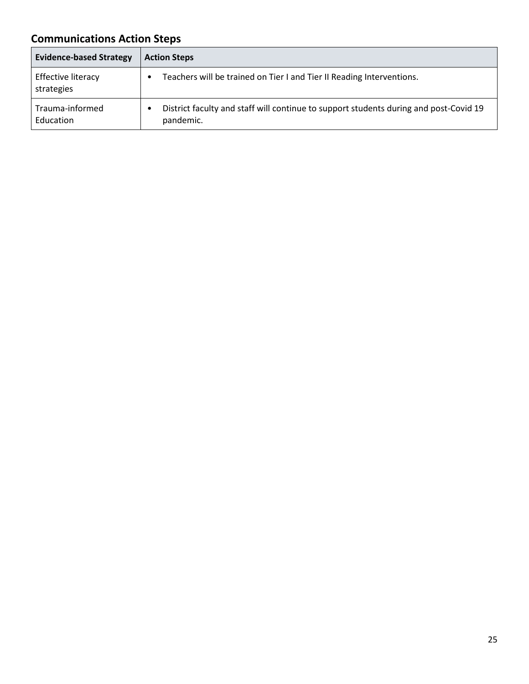# **Communications Action Steps**

| <b>Evidence-based Strategy</b>   | <b>Action Steps</b>                                                                                |
|----------------------------------|----------------------------------------------------------------------------------------------------|
| Effective literacy<br>strategies | Teachers will be trained on Tier I and Tier II Reading Interventions.                              |
| Trauma-informed<br>Education     | District faculty and staff will continue to support students during and post-Covid 19<br>pandemic. |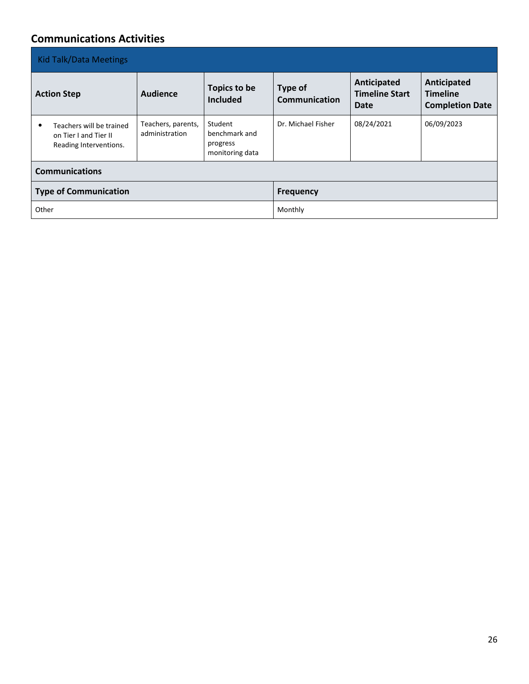### **Communications Activities**

| <b>Kid Talk/Data Meetings</b>                                                    |                                      |                                                         |                                 |                                                     |                                                          |  |  |  |  |
|----------------------------------------------------------------------------------|--------------------------------------|---------------------------------------------------------|---------------------------------|-----------------------------------------------------|----------------------------------------------------------|--|--|--|--|
| <b>Action Step</b>                                                               | Audience                             | Topics to be<br><b>Included</b>                         | <b>Type of</b><br>Communication | Anticipated<br><b>Timeline Start</b><br><b>Date</b> | Anticipated<br><b>Timeline</b><br><b>Completion Date</b> |  |  |  |  |
| Teachers will be trained<br>¢<br>on Tier I and Tier II<br>Reading Interventions. | Teachers, parents,<br>administration | Student<br>benchmark and<br>progress<br>monitoring data | Dr. Michael Fisher              | 08/24/2021                                          | 06/09/2023                                               |  |  |  |  |
| <b>Communications</b>                                                            |                                      |                                                         |                                 |                                                     |                                                          |  |  |  |  |
| <b>Type of Communication</b>                                                     |                                      |                                                         | <b>Frequency</b>                |                                                     |                                                          |  |  |  |  |
| Other                                                                            |                                      |                                                         | Monthly                         |                                                     |                                                          |  |  |  |  |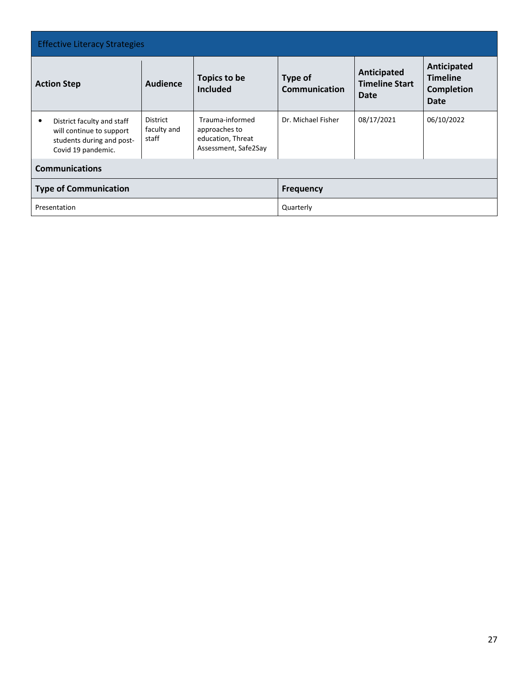| <b>Effective Literacy Strategies</b>                                                                           |                                         |                                                                               |                                 |                                              |                                                      |  |  |  |  |  |
|----------------------------------------------------------------------------------------------------------------|-----------------------------------------|-------------------------------------------------------------------------------|---------------------------------|----------------------------------------------|------------------------------------------------------|--|--|--|--|--|
| <b>Action Step</b>                                                                                             | Audience                                | Topics to be<br><b>Included</b>                                               | Type of<br><b>Communication</b> | Anticipated<br><b>Timeline Start</b><br>Date | Anticipated<br><b>Timeline</b><br>Completion<br>Date |  |  |  |  |  |
| District faculty and staff<br>٠<br>will continue to support<br>students during and post-<br>Covid 19 pandemic. | <b>District</b><br>faculty and<br>staff | Trauma-informed<br>approaches to<br>education, Threat<br>Assessment, Safe2Say | Dr. Michael Fisher              | 08/17/2021                                   | 06/10/2022                                           |  |  |  |  |  |
| <b>Communications</b>                                                                                          |                                         |                                                                               |                                 |                                              |                                                      |  |  |  |  |  |
| <b>Type of Communication</b>                                                                                   |                                         |                                                                               | <b>Frequency</b>                |                                              |                                                      |  |  |  |  |  |
| Presentation                                                                                                   |                                         |                                                                               | Quarterly                       |                                              |                                                      |  |  |  |  |  |